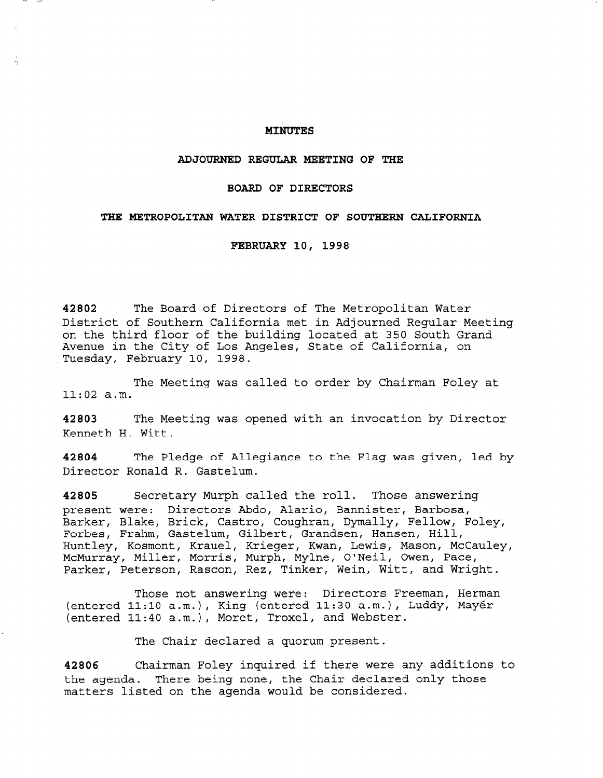# MINUTES

### ADJOURNED REGULAR MEETING OF THE

## BOARD OF DIRECTORS

## THE METROPOLITAN WATER DISTRICT OF SOUTHERN CALIFORNIA

FEBRUARY 10, 1998

42802 The Board of Directors of The Metropolitan Water District of Southern California met in Adjourned Regular Meeting on the third floor of the building located at 350 South Grand Avenue in the City of Los Angeles, State of California, on Tuesday, February 10, 1998.

The Meeting was called to order by Chairman Foley at 11:02 a.m.

42803 The Meeting was opened with an invocation by Director Kenneth H. Witt.

42804 The Pledge of Allegiance to the Flag was given, led by Director Ronald R. Gastelum.

42805 Secretary Murph called the roll. Those answering present were: Directors Abdo, Alario, Bannister, Barbosa, Barker, Blake, Brick, Castro, Coughran, Dymally, Fellow, Foley, Forbes, Frahm, Gastelum, Gilbert, Grandsen, Hansen, Hill, Huntley, Kosmont, Krauel, Krieger, Kwan, Lewis, Mason, McCauley, McMurray, Miller, Morris, Murph, Mylne, O'Neil, Owen, Pace, Parker, Peterson, Rascon, Rez, Tinker, Wein, Witt, and Wright.

Those not answering were: Directors Freeman, Herman (entered 11:lO a.m.), King (entered 11:30 a.m.), Luddy, Mayer (entered 11:40 a.m.), Moret, Troxel, and Webster.

The Chair declared a quorum present.

42806 Chairman Foley inquired if there were any additions to the agenda. There being none, the Chair declared only those matters listed on the agenda would be considered.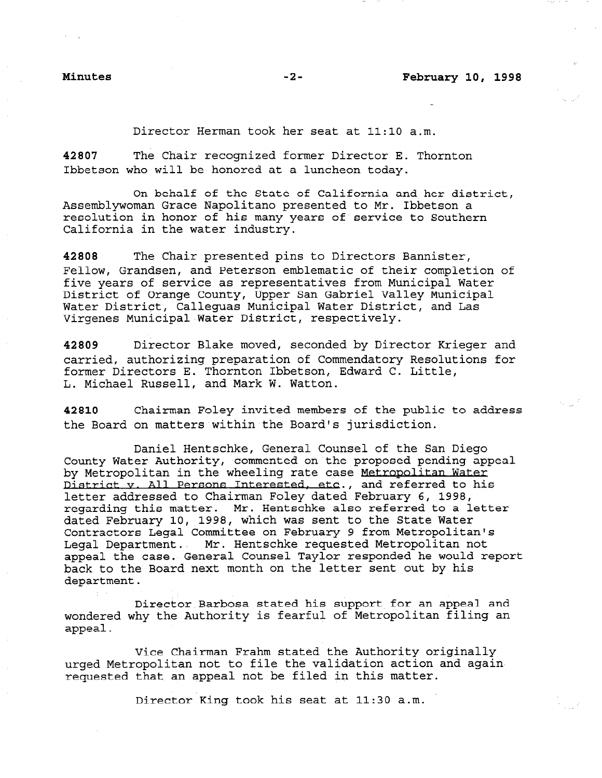.-

Director Herman took her seat at 11:10 a.m.

42807 The Chair recognized former Director E. Thornton Ibbetson who will be honored at a luncheon today.

On behalf of the State of California and her district, Assemblywoman Grace Napolitano presented to Mr. Ibbetson a resolution in honor of his many years of service to Southern California in the water industry.

42808 The Chair presented pins to Directors Bannister, Fellow, Grandsen, and Peterson emblematic of their completion of five years of service as representatives from Municipal Water District of Orange County, Upper San Gabriel Valley Municipal Water District, Calleguas Municipal Water District, and Las Virgenes Municipal Water District, respectively.

42809 Director Blake moved, seconded by Director Krieger and carried, authorizing preparation of Commendatory Resolutions for former Directors E. Thornton Ibbetson, Edward C. Little, L. Michael Russell, and Mark W. Watton.

42810 Chairman Foley invited members of the public to address the Board on matters within the Board's jurisdiction.

Daniel Hentschke, General Counsel of the San Diego County Water Authority, commented on the proposed pending appeal by Metropolitan in the wheeling rate case Metropolitan Water District v. All Persons Interested, etc., and referred to his letter addressed to Chairman Foley dated February 6, 1998, regarding this matter. 'Mr. Hentschke also referred to a letter dated February 10, 1998, which was sent to the State Water Contractors Legal Committee on February 9 from Metropolitan's Legal Department. Mr. Hentschke requested Metropolitan not appeal the case.' General Counsel Taylor responded he would report back to the Board next month on the letter sent out by his department.

Director Barbosa stated his support for an appeal and wondered why the Authority is fearful of Metropolitan filing an appeal.

Vice Chairman Frahm stated the Authority originally vice didiriman riamm Stated the Authority Originary<br>intimated metropolitan not to file the validation action and again requested that an appeal not be filed in this matter.

Director King took his seat at 11:30 a.m.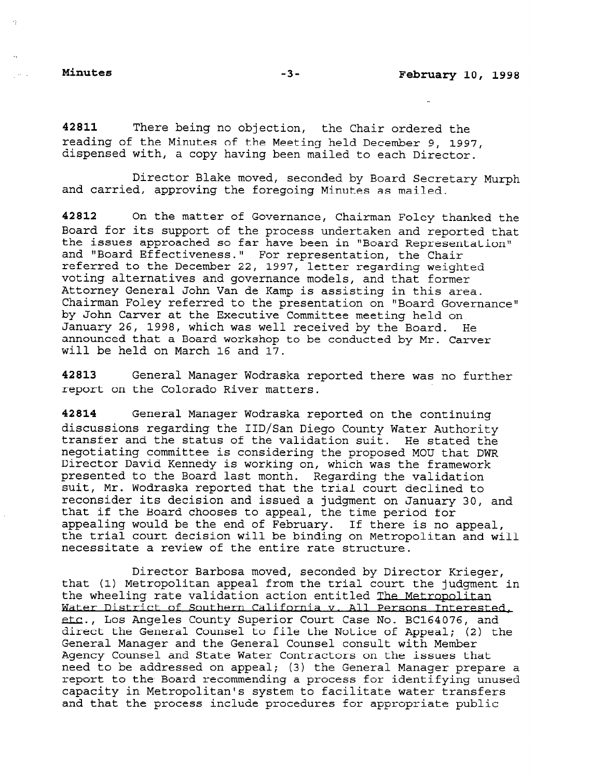$\sim 10$ 

42811 There being no objection, the Chair ordered the reading of the Minutes of the Meeting held December 9, 1997, dispensed with, a copy having been mailed to each Director.

Director Blake moved, seconded by Board Secretary Murph and carried, approving the foregoing Minutes as maile

42812 On the matter of Governance, Chairman Foley thanked the Board for its support of the process undertaken and reported that the issues approached so far have been in "Board Representation" and "Board Effectiveness." For representation, the Chair referred to the December 22, 1997, letter regarding weighted voting alternatives and governance models, and that former Attorney General John Van de Kamp is assisting in this area. Chairman Foley referred to the presentation on "Board Governance" by John Carver at the Executive Committee meeting held on January 26, 1998, which was well received by the Board. He announced that a Board workshop to be conducted by Mr. Carver will be held on March 16 and 17.

42813 General Manager Wodraska reported there was no further report on the Colorado River matters.

42814 General Manager Wodraska reported on the continuing discussions regarding the IID/San Diego County Water Authority transfer and the status of the validation suit. He stated the negotiating committee is considering the proposed MOU that DWR Director David Kennedy is working on, which was the framework presented to the Board last month. Regarding the validation suit, Mr. Wodraska reported that the trial court declined to reconsider its decision and issued a judgment on January 30, and that if the Board chooses to appeal, the time period for appealing would be the end of February. If there is no appeal appearing would be the end of rebruary. It there is no appear,<br>the trial court decision will be binding on Metropolitan and wil the trial court decision will be binding on Metropolitan and will necessitate a review of the entire rate structure.

Director Barbosa moved, seconded by Director Krieger, that (1) Metropolitan appeal from the trial court the judgment in the wheeling rate validation action entitled The Metropolitan Water District of Southern California v. All Persons Interested. etc., Los Angeles County Superior Court Case No. BC164076, and direct the General Counsel to file the Notice of Appeal; (2) the General Manager and the General Counsel consult with Member Agency Counsel and Check Water Counsel Consult With Member<br>Agency Counsel and Check Water Central Consult Agency Counsel and State Water Contractors on the issues that need to be addressed on appeal; (3) the General Manager prepare a report to the Board recommending a process for identifying unused capacity in Metropolitan's system to facilitate water transfers<br>and that the process include procedures for appropriate public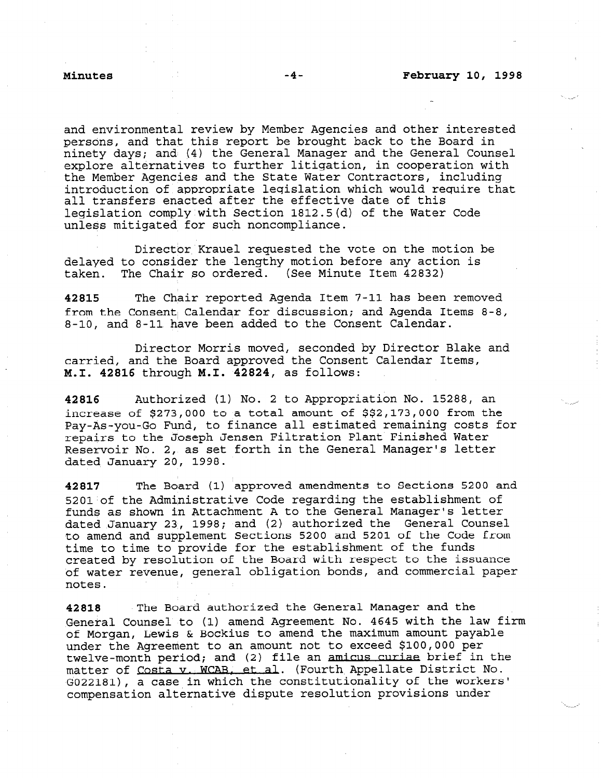and environmental review by Member Agencies and other interested persons, and that this report be brought back to the Board in ninety days; and (4) the General Manager and the General Counsel explore alternatives to further litigation, in cooperation with the Member Agencies and the State Water Contractors, including introduction of appropriate legislation which would require that all transfers enacted after the effective date of this legislation comply with Section 1812.5(d) of the Water Code unless mitigated for such noncompliance.

Director Krauel requested the vote on the motion be delayed to consider the lengthy motion before any action is taken. The Chair so ordered. (See Minute Item 42832)

42815 The Chair reported Agenda Item 7-11 has been removed from the Consent; Calendar for discussion; and Agenda Items 8-8, 8-10, and 8-11 have been added to the Consent Calendar.

Director Morris moved, seconded by Director Blake and carried, and the Board approved the Consent Calendar Items, M.I. 42816 through M.I. 42824, as follows:

42816 Authorized (1) No. 2 to Appropriation No. 15288, an increase of \$273,000 to a total amount of \$\$2,173,000 from the Pay-As-you-Go Fund, to finance all estimated remaining costs for repairs to the Joseph Jensen Filtration Plant Finished Water Reservoir No. 2, as set forth in the General Manager's letter dated January 20, 1998.

42817 The Board (1) 'approved amendments to Sections 5200 and  $5201$  of the Administrative Code regarding the establishment of funds as shown in Attachment A to the General Manager's letter dated January 23, 1998; and (2) authorized the General Counsel to amend and supplement Sections 5200 and 5201 of the Code from time to time to provide for the establishment of the funds created by resolution of the Board with respect to the issuance of water revenue, general obligation bonds, and commercial paper notes.

42818 The Board authorized the General Manager and the General Counsel to (1) amend Agreement No. 4645 with the law firm of Morgan, Lewis & Bockius to amend the maximum amount payable United the Agreement to an amount not to exceed \$100,000 per under the Agreement to an amount not to exceed \$100,000 per twelve-month period; and (2) file an amicus curiae brief in the matter of Costa v. WCAB, et al. (Fourth Appellate District No. G022181), a case in which the constitutionality of the workers'<br>compensation alternative dispute resolution provisions under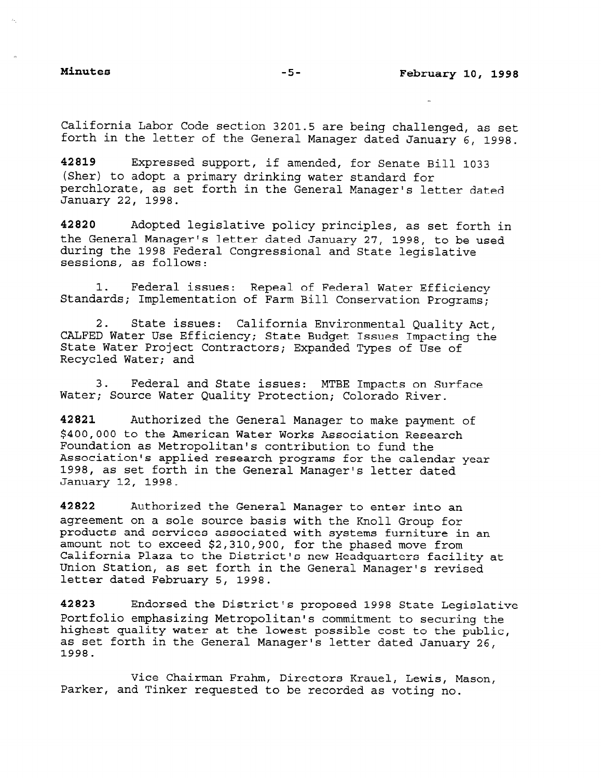California Labor Code section 3201.5 are being challenged, as set forth in the letter of the General Manager dated January 6, 1998.

42819 Expressed support, if amended, for Senate Bill 1033 (Sher) to adopt a primary drinking water standard for perchlorate, as set forth in the General Manager's letter dated January 22, 1998.

42820 Adopted legislative policy principles, as set forth in the General Manager's letter dated January 27, 1998, to be used during the 1998 Federal Congressional and State legislative sessions, as follows:

1. Federal issues: Repeal of Federal Water Efficiency Standards; Implementation of Farm Bill Conservation Programs;

2. State issues: California Environmental Quality Act, CALFED Water Use Efficiency; State Budget Issues Impacting the State Water Project Contractors; Expanded Types of Use of Recycled Water; and

3. Federal and State issues: MTBE Impacts on Surface Water; Source Water Quality Protection; Colorado River.

42821 Authorized the General Manager to make payment of \$400,000 to the American Water Works Association Research Foundation as Metropolitan's contribution to fund the Association's applied research programs for the calendar year 1998, as set forth in the General Manager's letter dated January 12, 1998.

42822 Authorized the General Manager to enter into an agreement on a sole source basis with the Knoll Group for products and services associated with systems furniture in an products and services associated with systems furniture ! amount not to exceed  $\varphi$ z, sio, soo, ior the phased move from California Plaza to the District's new Headquarters facility at<br>Union Station, as set forth in the General Manager's revised letter dated February 5, 1998.

42823 Endorsed the District's proposed 1998 State Legislative Portfolio emphasizing Metropolitan's commitment to securing the highest quality water at the lowest possible cost to the public, highest quality water at the lowest possible cost to the public, as set forth in the General Manager's letter dated January 26,<br>1998.

Vice Chairman Frahm, Directors Krauel, Lewis, Mason, Parker, and Tinker requested to be recorded as voting no.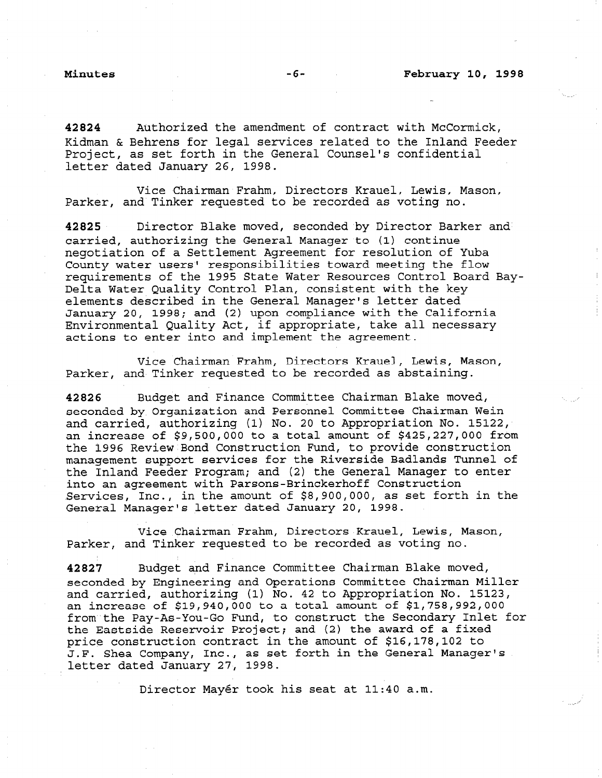42824 Authorized the amendment of contract with McCormick, Kidman & Behrens for legal services related to the Inland Feeder Project, as set forth in the General Counsel's confidential letter dated January 26, 1998.

Vice Chairman Frahm, Directors Krauel, Lewis, Mason, Parker, and Tinker requested to be recorded as voting no.

42825 Director Blake moved, seconded by Director Barker and carried, authorizing the General Manager to (1) continue negotiation of a Settlement Agreement for resolution of Yuba County water users' responsibilities toward meeting the flow requirements of the 1995 State Water Resources Control Board Bay-Delta Water Quality Control Plan, consistent with the key elements described in the General Manager's letter dated January 20, 1998; and (2) upon compliance with the California Environmental Quality Act, if appropriate, take all necessary actions to enter into and implement the agreement.

Vice Chairman Frahm, Directors Krauel, Lewis, Mason, Parker, and Tinker requested to be recorded as abstaining.

42826 Budget and Finance Committee Chairman Blake moved, seconded by Organization and Personnel Committee Chairman Wein and carried, authorizing (1) No. 20 to Appropriation No. 15122, an increase of  $$9,500,000$  to a total amount of  $$425,227,000$  from the 1996 Review'Bond Construction Fund, to provide construction management support services for the Riverside Badlands Tunnel of the Inland Feeder Program; and (2) the General Manager to enter into an agreement with Parsons-Brinckerhoff Construction Services, Inc., in the amount of \$8,900,000, as set forth in the General Manager's letter dated January 20, 1998.

Vice Chairman Frahm, Directors Krauel, Lewis, Mason, Parker, and Tinker requested to be recorded as voting no.

42827 Budget and Finance Committee Chairman Blake moved, seconded by Engineering and Operations Committee Chairman Miller and carried, authorizing (1) No. 42 to Appropriation No. 15123, and carried, authorizing (i) no. 42 to appropriation no. 15 an increase of 519,940,000 to a total amount of 51,750,992,000<br>Committee Pay-As-You-Go Fund, to construct the Gecondary Inlet for from the Pay-As-You-Go Fund, to construct the Secondary Inlet for the Eastside Reservoir Project; and  $(2)$  the award of a fixed price construction contract in the amount of \$16,178,102 to .<br>J.F. Shea Company, Inc., as set forth in the General Manager's .<br>letter dated January 27, 1998.

Director Mayér took his seat at 11:40 a.m.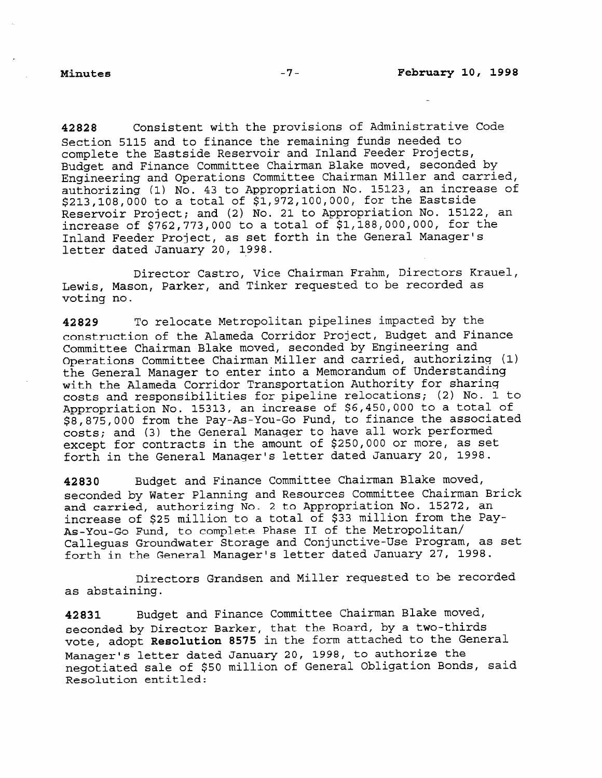42828 Consistent with the provisions of Administrative Code Section 5115 and to finance the remaining funds needed to complete the Eastside Reservoir and Inland Feeder Projects, Budget and Finance Committee Chairman Blake moved, seconded by Engineering and Operations Committee Chairman Miller and carried, authorizing (1) No. 43 to Appropriation No. 15123, an increase of \$213,108,000 to a total of \$1,972,100,000, for the Eastside Reservoir Project; and (2) No. 21 to Appropriation No. 15122, an increase of \$762,773,000 to a total of \$1,188,000,000, for the Inland Feeder Project, as set forth in the General Manager's letter dated January 20, 1998.

Director Castro, Vice Chairman Frahm, Directors Krauel, Lewis, Mason, Parker, and Tinker requested to be recorded as voting no.

42829 To relocate Metropolitan pipelines impacted by the construction of the Alameda Corridor Project, Budget and Finance Committee Chairman Blake moved, seconded by Engineering and Operations Committee Chairman Miller and carried, authorizing (1) the General Manager to enter into a Memorandum of Understanding with the Alameda Corridor Transportation Authority for sharing costs and responsibilities for pipeline relocations; (2) No. 1 to Appropriation No. 15313, an increase of \$6,450,000 to a total of \$8,875,000 from the Pay-As-You-Go Fund, to finance the associated costs; and (3) the General Manager to have all work performed except for contracts in the amount of \$250,000 or more, as set forth in the General Manager's letter dated January 20, 1998.

42830 Budget and Finance Committee Chairman Blake moved, seconded by Water Planning and Resources Committee Chairman Brick and carried, authorizing No. 2 to Appropriation No. 15272, an increase of \$25 million to a total of \$33 million from the Pay-As-You-Go Fund, to complete Phase II of the Metropolitan/ Calleguas Groundwater Storage and Conjunctive-Use Program, as set forth in the General Manager's letter dated January 27, 1998.

Directors Grandsen and Miller requested to be recorded as abstaining.

42831 Budget and Finance Committee Chairman Blake moved, seconded by Director Barker, that the Board, by a two-thirds vote, adopt Resolution 8575 in the form attached to the General Manager's letter dated January 20, 1998, to authorize the negotiated sale of \$50 million of General Obligation Bonds, said Resolution entitled: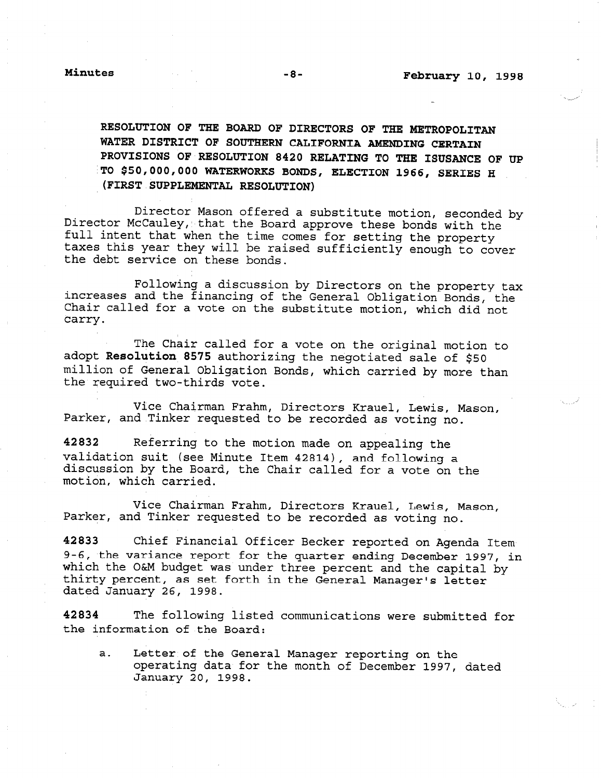RESOLUTION OF THE BOARD OF DIRECTORS OF THE METROPOLITAN WATER DISTRICT OF SOUTHERN CALIFORNIA AMENDING CERTAIN PROVISIONS OF RESOLUTION 8420 RELATING TO THE ISUSANCE OF UP 'TO \$50,000,000 WATERWORKS BONDS, ELECTION 1966, SERIES H (FIRST SUPPLEMENTAL RESOLUTION)

Director Mason offered a substitute motion, seconded by Director McCauley, that the Board approve these bonds with the full intent that when the time comes for setting the property taxes this year they will be raised sufficiently enough to cover the debt service on these bonds.

Following a discussion by Directors on the property tax increases and the financing of the General Obligation Bonds, the Chair called for a vote on the substitute motion, which did not carry.

The Chair called for a vote on the original motion to adopt Resolution 8575 authorizing the negotiated sale of \$50 .<br>million of General Obligation Bonds, which carried by more than the required two-thirds vote.

Vice Chairman Frahm, Directors Krauel, Lewis, Mason, Parker, and Tinker requested to be recorded as voting no.

42832 Referring to the motion made on appealing the validation suit (see Minute Item  $42814$ ), and following a discussion by the Board, the Chair called for a vote on the motion, which carried.

Vice Chairman Frahm, Directors Krauel, Lewis, Mason, Parker, and Tinker requested to be recorded as voting no.

42833 Chief Financial Officer Becker reported on Agenda Item 9-6, the variance report for the quarter ending December 1997, in 2-0, the variance report for the quarter ending becember 1997, which the own budget was under three percent and the capit thirty percent, as set forth in the General Manager's letter dated January 26, 1998.

42834 The following listed communications were submitted for the information of the Board:

 $\mathcal{L} = \mathcal{L}$  the General Manager reporting on the General Manager reporting on the  $\mathcal{L}$ better of the General Manager reporting on the operating data for the month of December 1997, dated<br>January 20, 1998.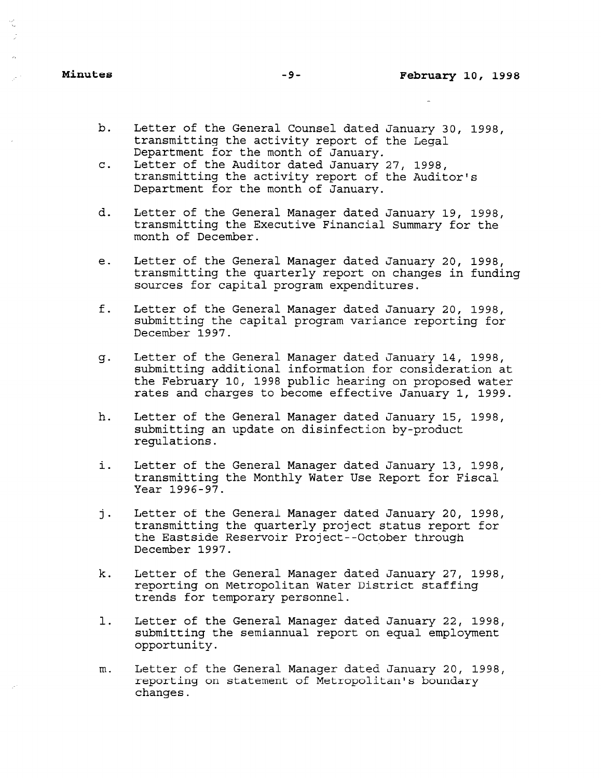- b. Letter of the General Counsel dated January 30, 1998, transmitting the activity report of the Legal Department for the month of January.
- C. Letter of the Auditor dated January 27, 1998, transmitting the activity report of the Auditor's Department for the month of January.
- d. Letter of the General Manager dated January 19, 1998, transmitting the Executive Financial Summary for the month of December.
- e. Letter of the General Manager dated January 20, 1998, transmitting the quarterly report on changes in funding sources for capital program expenditures.
- f. Letter of the General Manager dated January 20, 1998, submitting the capital program variance reporting for December 1997.
- 53. Letter of the General Manager dated January 14, 1998, submitting additional information for consideration at the February 10, 1998 public hearing on proposed water rates and charges to become effective January 1, 1999.
- h. Letter of the General Manager dated January 15, 1998, submitting an update on disinfection by-product regulations.
- i. Letter of the General Manager dated January 13, 1998, transmitting the Monthly Water Use Report for Fiscal Year 1996-97.
- j. Letter of the General Manager dated January 20, 1998, transmitting the quarterly project status report for the Eastside Reservoir Project--October through December 1997.
- k. Letter of the General Manager dated January 27, 1998, reporting on Metropolitan Water District staffing teporting on metroporitan wat
- 1.  $L_{\text{L}}$ submitting the semicral Manager dated Sandary 22, 193<br>cubmitting the semicranol consect on equal employment submitting the semiannual report on equal employment<br>opportunity.
- In. Letter of the General Manager dated January 20, 1998, report of the General Manager dated January 20, reporting on statement of Metropolitan's boundary<br>changes.